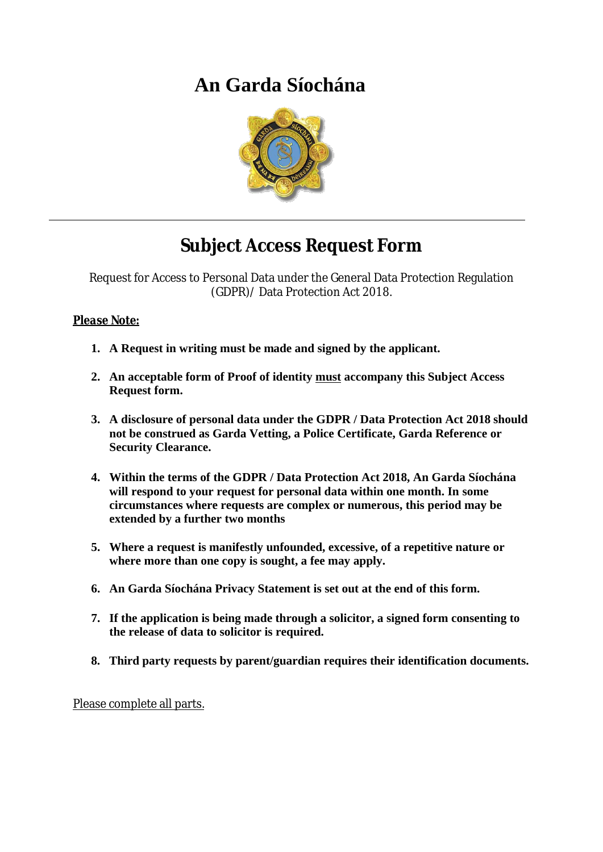# **An Garda Síochána**



## **Subject Access Request Form**

Request for Access to Personal Data under the General Data Protection Regulation (GDPR)/ Data Protection Act 2018.

#### *Please Note:*

- **1. A Request in writing must be made and signed by the applicant.**
- **2. An acceptable form of Proof of identity must accompany this Subject Access Request form.**
- **3. A disclosure of personal data under the GDPR / Data Protection Act 2018 should not be construed as Garda Vetting, a Police Certificate, Garda Reference or Security Clearance.**
- **4. Within the terms of the GDPR / Data Protection Act 2018, An Garda Síochána will respond to your request for personal data within one month. In some circumstances where requests are complex or numerous, this period may be extended by a further two months**
- **5. Where a request is manifestly unfounded, excessive, of a repetitive nature or where more than one copy is sought, a fee may apply.**
- **6. An Garda Síochána Privacy Statement is set out at the end of this form.**
- **7. If the application is being made through a solicitor, a signed form consenting to the release of data to solicitor is required.**
- **8. Third party requests by parent/guardian requires their identification documents.**

Please complete all parts.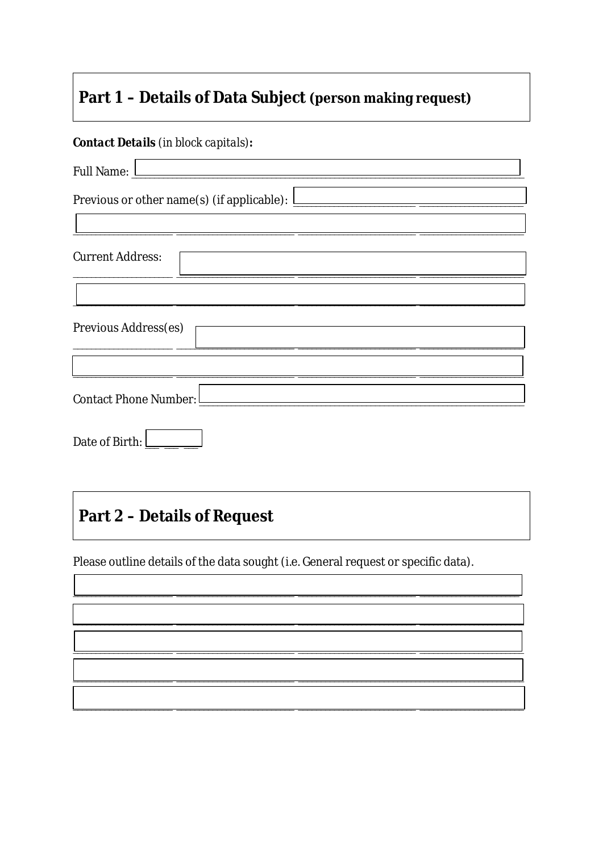### Part 1 - Details of Data Subject (person making request)

#### **Contact Details (in block capitals):**

| Full Name: <u>Lateral and the set of the set of the set of the set of the set of the set of the set of the set of the set of the set of the set of the set of the set of the set of the set of the set of the set of the set of </u><br>Previous or other name(s) (if applicable): $\boxed{\phantom{\begin{bmatrix}\frac{1}{2} & 1\\1 & 1\\1 & 1\end{bmatrix}}}$ |                       |  |  |  |  |
|------------------------------------------------------------------------------------------------------------------------------------------------------------------------------------------------------------------------------------------------------------------------------------------------------------------------------------------------------------------|-----------------------|--|--|--|--|
|                                                                                                                                                                                                                                                                                                                                                                  |                       |  |  |  |  |
| <b>Current Address:</b>                                                                                                                                                                                                                                                                                                                                          |                       |  |  |  |  |
|                                                                                                                                                                                                                                                                                                                                                                  |                       |  |  |  |  |
| <b>Previous Address(es)</b>                                                                                                                                                                                                                                                                                                                                      |                       |  |  |  |  |
|                                                                                                                                                                                                                                                                                                                                                                  |                       |  |  |  |  |
|                                                                                                                                                                                                                                                                                                                                                                  | Contact Phone Number: |  |  |  |  |
| Date of Birth:                                                                                                                                                                                                                                                                                                                                                   |                       |  |  |  |  |

### **Part 2 - Details of Request**

Please outline details of the data sought (i.e. General request or specific data).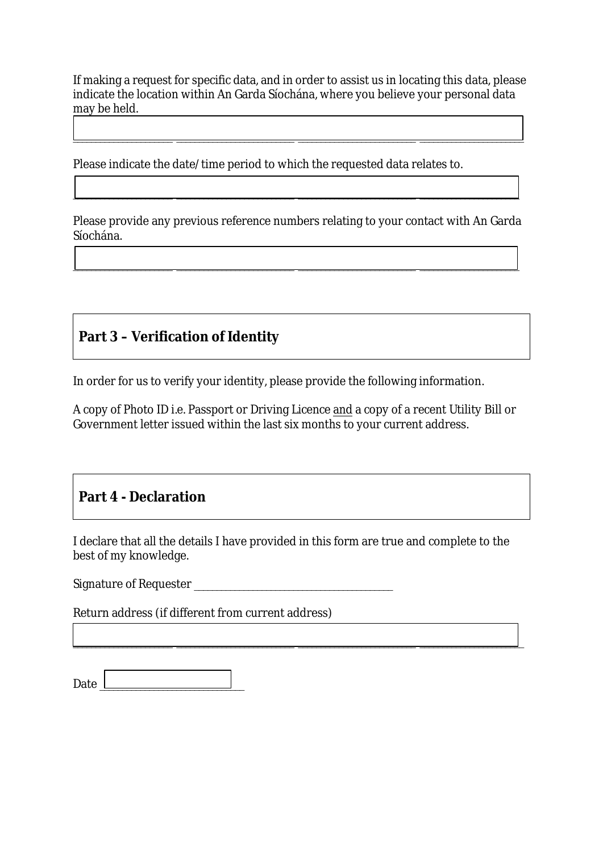If making a request for specific data, and in order to assist us in locating this data, please indicate the location within An Garda Síochána, where you believe your personal data may be held.

\_\_\_\_\_\_\_\_\_\_\_\_\_\_\_\_\_\_\_\_\_\_ \_\_\_\_\_\_\_\_\_\_\_\_\_\_\_\_\_\_\_\_\_\_\_\_\_\_ \_\_\_\_\_\_\_\_\_\_\_\_\_\_\_\_\_\_\_\_\_\_\_\_\_\_ \_\_\_\_\_\_\_\_\_\_\_\_\_\_\_\_\_\_\_\_\_\_\_

Please indicate the date/time period to which the requested data relates to.

Please provide any previous reference numbers relating to your contact with An Garda Síochána.

\_\_\_\_\_\_\_\_\_\_\_\_\_\_\_\_\_\_\_\_\_\_ \_\_\_\_\_\_\_\_\_\_\_\_\_\_\_\_\_\_\_\_\_\_\_\_\_\_ \_\_\_\_\_\_\_\_\_\_\_\_\_\_\_\_\_\_\_\_\_\_\_\_\_\_ \_\_\_\_\_\_\_\_\_\_\_\_\_\_\_\_\_\_\_\_\_\_

 $\frac{1}{2}$  , and the set of the set of the set of the set of the set of the set of the set of the set of the set of the set of the set of the set of the set of the set of the set of the set of the set of the set of the set

### **Part 3 – Verification of Identity**

In order for us to verify your identity, please provide the following information.

A copy of Photo ID i.e. Passport or Driving Licence and a copy of a recent Utility Bill or Government letter issued within the last six months to your current address.

#### **Part 4 - Declaration**

I declare that all the details I have provided in this form are true and complete to the best of my knowledge.

 $\Box$  . The contract of the contract of the contract of the contract of the contract of the contract of the contract of the contract of the contract of the contract of the contract of the contract of the contract of the co

Signature of Requester

Return address (if different from current address)

| Date |  |  |
|------|--|--|
|      |  |  |